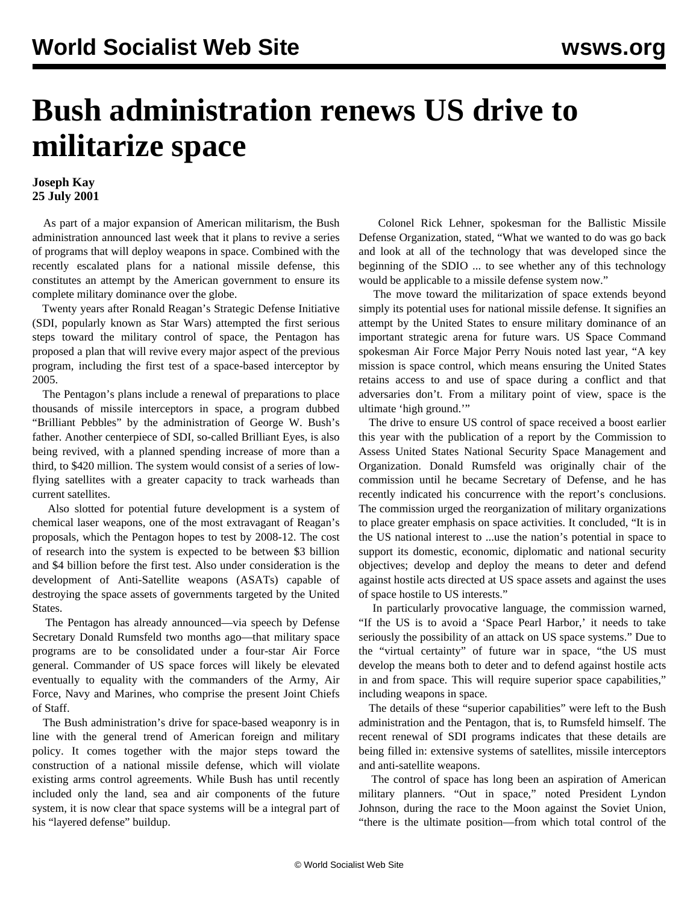## **Bush administration renews US drive to militarize space**

## **Joseph Kay 25 July 2001**

 As part of a major expansion of American militarism, the Bush administration announced last week that it plans to revive a series of programs that will deploy weapons in space. Combined with the recently escalated plans for a national missile defense, this constitutes an attempt by the American government to ensure its complete military dominance over the globe.

 Twenty years after Ronald Reagan's Strategic Defense Initiative (SDI, popularly known as Star Wars) attempted the first serious steps toward the military control of space, the Pentagon has proposed a plan that will revive every major aspect of the previous program, including the first test of a space-based interceptor by 2005.

 The Pentagon's plans include a renewal of preparations to place thousands of missile interceptors in space, a program dubbed "Brilliant Pebbles" by the administration of George W. Bush's father. Another centerpiece of SDI, so-called Brilliant Eyes, is also being revived, with a planned spending increase of more than a third, to \$420 million. The system would consist of a series of lowflying satellites with a greater capacity to track warheads than current satellites.

 Also slotted for potential future development is a system of chemical laser weapons, one of the most extravagant of Reagan's proposals, which the Pentagon hopes to test by 2008-12. The cost of research into the system is expected to be between \$3 billion and \$4 billion before the first test. Also under consideration is the development of Anti-Satellite weapons (ASATs) capable of destroying the space assets of governments targeted by the United States.

 The Pentagon has already announced—via speech by Defense Secretary Donald Rumsfeld two months ago—that military space programs are to be consolidated under a four-star Air Force general. Commander of US space forces will likely be elevated eventually to equality with the commanders of the Army, Air Force, Navy and Marines, who comprise the present Joint Chiefs of Staff.

 The Bush administration's drive for space-based weaponry is in line with the general trend of American foreign and military policy. It comes together with the major steps toward the construction of a national missile defense, which will violate existing arms control agreements. While Bush has until recently included only the land, sea and air components of the future system, it is now clear that space systems will be a integral part of his "layered defense" buildup.

 Colonel Rick Lehner, spokesman for the Ballistic Missile Defense Organization, stated, "What we wanted to do was go back and look at all of the technology that was developed since the beginning of the SDIO ... to see whether any of this technology would be applicable to a missile defense system now."

 The move toward the militarization of space extends beyond simply its potential uses for national missile defense. It signifies an attempt by the United States to ensure military dominance of an important strategic arena for future wars. US Space Command spokesman Air Force Major Perry Nouis noted last year, "A key mission is space control, which means ensuring the United States retains access to and use of space during a conflict and that adversaries don't. From a military point of view, space is the ultimate 'high ground.'"

 The drive to ensure US control of space received a boost earlier this year with the publication of a report by the Commission to Assess United States National Security Space Management and Organization. Donald Rumsfeld was originally chair of the commission until he became Secretary of Defense, and he has recently indicated his concurrence with the report's conclusions. The commission urged the reorganization of military organizations to place greater emphasis on space activities. It concluded, "It is in the US national interest to ...use the nation's potential in space to support its domestic, economic, diplomatic and national security objectives; develop and deploy the means to deter and defend against hostile acts directed at US space assets and against the uses of space hostile to US interests."

 In particularly provocative language, the commission warned, "If the US is to avoid a 'Space Pearl Harbor,' it needs to take seriously the possibility of an attack on US space systems." Due to the "virtual certainty" of future war in space, "the US must develop the means both to deter and to defend against hostile acts in and from space. This will require superior space capabilities," including weapons in space.

 The details of these "superior capabilities" were left to the Bush administration and the Pentagon, that is, to Rumsfeld himself. The recent renewal of SDI programs indicates that these details are being filled in: extensive systems of satellites, missile interceptors and anti-satellite weapons.

 The control of space has long been an aspiration of American military planners. "Out in space," noted President Lyndon Johnson, during the race to the Moon against the Soviet Union, "there is the ultimate position—from which total control of the